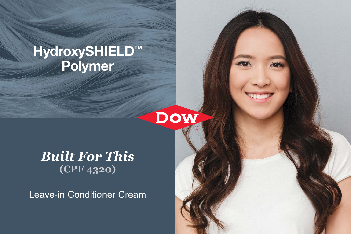# HydroxySHIELD™ Polymer



## *Built For This* **(CPF 4320)**

Leave-in Conditioner Cream